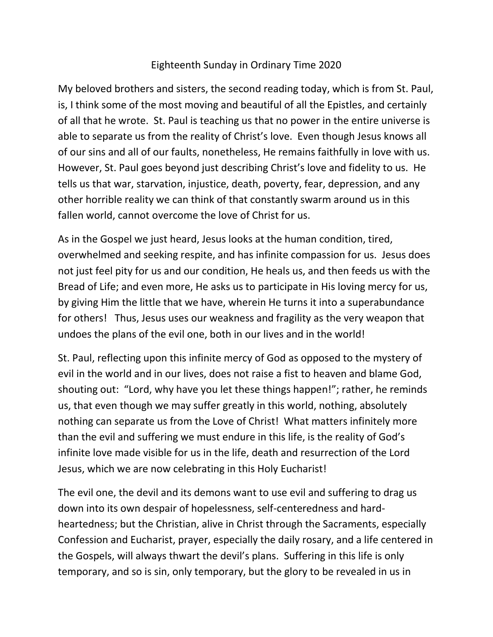## Eighteenth Sunday in Ordinary Time 2020

My beloved brothers and sisters, the second reading today, which is from St. Paul, is, I think some of the most moving and beautiful of all the Epistles, and certainly of all that he wrote. St. Paul is teaching us that no power in the entire universe is able to separate us from the reality of Christ's love. Even though Jesus knows all of our sins and all of our faults, nonetheless, He remains faithfully in love with us. However, St. Paul goes beyond just describing Christ's love and fidelity to us. He tells us that war, starvation, injustice, death, poverty, fear, depression, and any other horrible reality we can think of that constantly swarm around us in this fallen world, cannot overcome the love of Christ for us.

As in the Gospel we just heard, Jesus looks at the human condition, tired, overwhelmed and seeking respite, and has infinite compassion for us. Jesus does not just feel pity for us and our condition, He heals us, and then feeds us with the Bread of Life; and even more, He asks us to participate in His loving mercy for us, by giving Him the little that we have, wherein He turns it into a superabundance for others! Thus, Jesus uses our weakness and fragility as the very weapon that undoes the plans of the evil one, both in our lives and in the world!

St. Paul, reflecting upon this infinite mercy of God as opposed to the mystery of evil in the world and in our lives, does not raise a fist to heaven and blame God, shouting out: "Lord, why have you let these things happen!"; rather, he reminds us, that even though we may suffer greatly in this world, nothing, absolutely nothing can separate us from the Love of Christ! What matters infinitely more than the evil and suffering we must endure in this life, is the reality of God's infinite love made visible for us in the life, death and resurrection of the Lord Jesus, which we are now celebrating in this Holy Eucharist!

The evil one, the devil and its demons want to use evil and suffering to drag us down into its own despair of hopelessness, self-centeredness and hardheartedness; but the Christian, alive in Christ through the Sacraments, especially Confession and Eucharist, prayer, especially the daily rosary, and a life centered in the Gospels, will always thwart the devil's plans. Suffering in this life is only temporary, and so is sin, only temporary, but the glory to be revealed in us in